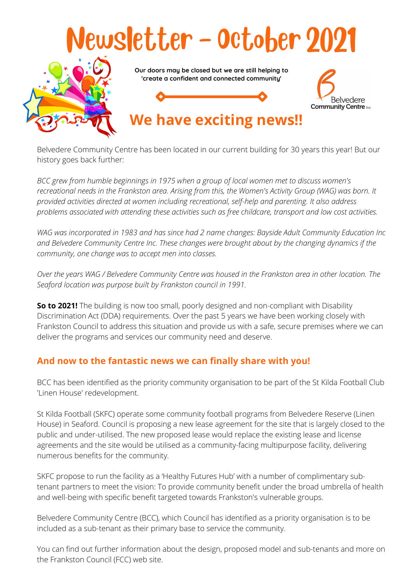

Belvedere Community Centre has been located in our current building for 30 years this year! But our history goes back further:

*BCC grew from humble beginnings in 1975 when a group of local women met to discuss women's* recreational needs in the Frankston area. Arising from this, the Women's Activity Group (WAG) was born. It *provided activities directed at women including recreational, self-help and parenting. It also address problems associated with attending these activities such as free childcare, transport and low cost activities.*

*WAG was incorporated in 1983 and has since had 2 name changes: Bayside Adult Community Education Inc and Belvedere Community Centre Inc. These changes were brought about by the changing dynamics if the community, one change was to accept men into classes.*

Over the years WAG / Belvedere Community Centre was housed in the Frankston area in other location. The *Seaford location was purpose built by Frankston council in 1991.*

**So to 2021!** The building is now too small, poorly designed and non-compliant with Disability Discrimination Act (DDA) requirements. Over the past 5 years we have been working closely with Frankston Council to address this situation and provide us with a safe, secure premises where we can deliver the programs and services our community need and deserve.

### **And now to the fantastic news we can finally share with you!**

BCC has been identified as the priority community organisation to be part of the St Kilda Football Club 'Linen House' redevelopment.

St Kilda Football (SKFC) operate some community football programs from Belvedere Reserve (Linen House) in Seaford. Council is proposing a new lease agreement for the site that is largely closed to the public and under-utilised. The new proposed lease would replace the existing lease and license agreements and the site would be utilised as a community-facing multipurpose facility, delivering numerous benefits for the community.

SKFC propose to run the facility as a 'Healthy Futures Hub' with a number of complimentary subtenant partners to meet the vision: To provide community benefit under the broad umbrella of health and well-being with specific benefit targeted towards Frankston's vulnerable groups.

Belvedere Community Centre (BCC), which Council has identified as a priority organisation is to be included as a sub-tenant as their primary base to service the community.

You can find out further information about the design, proposed model and sub-tenants and more on the Frankston Council (FCC) web site.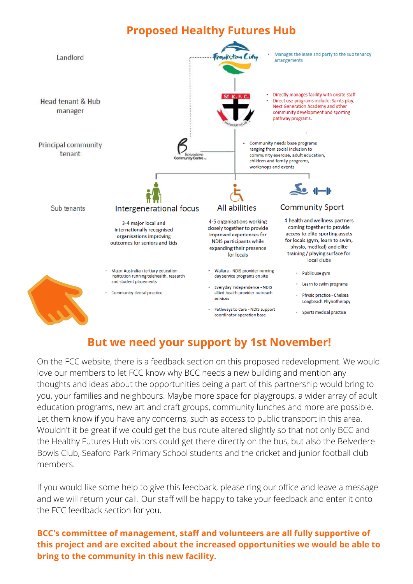## **Proposed Healthy Futures Hub**



## **But we need your support by 1st November!**

On the FCC website, there is a feedback section on this proposed redevelopment. We would love our members to let FCC know why BCC needs a new building and mention any thoughts and ideas about the opportunities being a part of this partnership would bring to you, your families and neighbours. Maybe more space for playgroups, a wider array of adult education programs, new art and craft groups, community lunches and more are possible. Let them know if you have any concerns, such as access to public transport in this area. Wouldn't it be great if we could get the bus route altered slightly so that not only BCC and the Healthy Futures Hub visitors could get there directly on the bus, but also the Belvedere Bowls Club, Seaford Park Primary School students and the cricket and junior football club members.

If you would like some help to give this feedback, please ring our office and leave a message and we will return your call. Our staff will be happy to take your feedback and enter it onto the FCC feedback section for you.

#### **BCC's committee of management, staff and volunteers are all fully supportive of this project and are excited about the increased opportunities we would be able to bring to the community in this new facility.**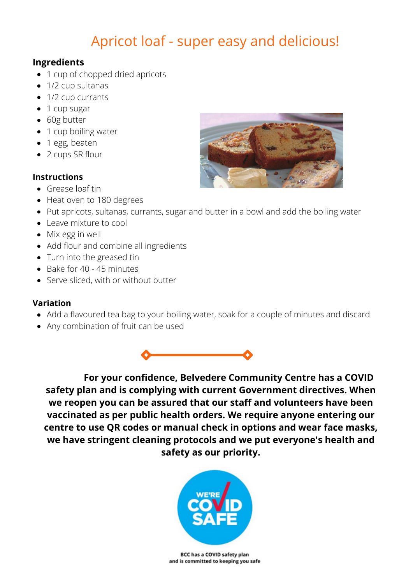# Apricot loaf - super easy and delicious!

#### **Ingredients**

- 1 cup of chopped dried apricots
- 1/2 cup sultanas
- 1/2 cup currants
- 1 cup sugar
- 60g butter
- 1 cup boiling water
- 1 egg, beaten
- 2 cups SR flour

#### **Instructions**

- Grease loaf tin
- Heat oven to 180 degrees
- Put apricots, sultanas, currants, sugar and butter in a bowl and add the boiling water
- Leave mixture to cool
- Mix egg in well
- Add flour and combine all ingredients
- Turn into the greased tin
- Bake for 40 45 minutes
- Serve sliced, with or without butter

#### **Variation**

- Add a flavoured tea bag to your boiling water, soak for a couple of minutes and discard
- Any combination of fruit can be used



**For your confidence, Belvedere Community Centre has a COVID safety plan and is complying with current Government directives. When we reopen you can be assured that our staff and volunteers have been vaccinated as per public health orders. We require anyone entering our centre to use QR codes or manual check in options and wear face masks, we have stringent cleaning protocols and we put everyone's health and safety as our priority.**



BCC has a COVID safety plan and is committed to keeping you safe